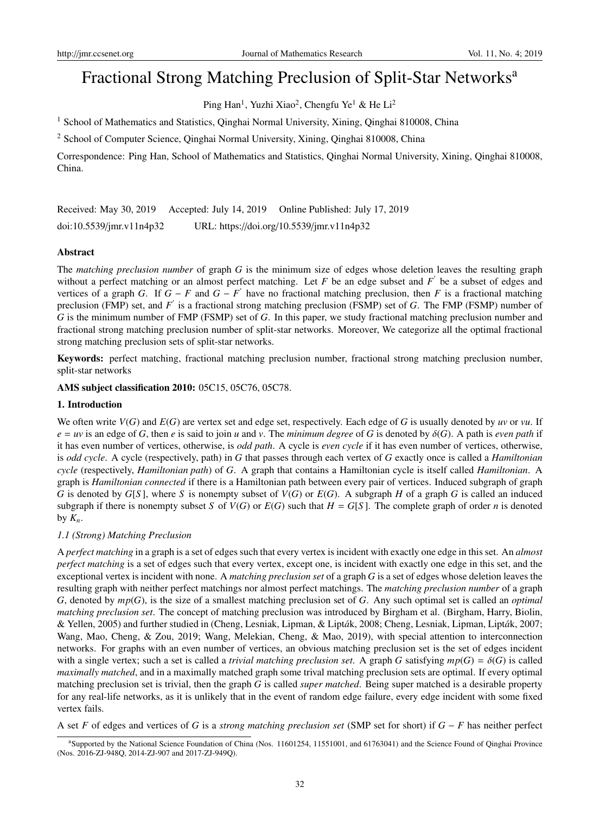# Fractional Strong Matching Preclusion of Split-Star Networks<sup>a</sup>

Ping Han<sup>1</sup>, Yuzhi Xiao<sup>2</sup>, Chengfu Ye<sup>1</sup> & He Li<sup>2</sup>

<sup>1</sup> School of Mathematics and Statistics, Qinghai Normal University, Xining, Qinghai 810008, China

<sup>2</sup> School of Computer Science, Qinghai Normal University, Xining, Qinghai 810008, China

Correspondence: Ping Han, School of Mathematics and Statistics, Qinghai Normal University, Xining, Qinghai 810008, China.

Received: May 30, 2019 Accepted: July 14, 2019 Online Published: July 17, 2019 doi:10.5539/jmr.v11n4p32 URL: https://doi.org/10.5539/jmr.v11n4p32

### Abstract

The *matching preclusion number* of graph *G* is the minimum size of edges whose deletion leaves the resulting graph without a perfect matching or an almost perfect matching. Let  $F$  be an edge subset and  $F'$  be a subset of edges and vertices of a graph *G*. If  $G - F$  and  $G - F'$  have no fractional matching preclusion, then *F* is a fractional matching preclusion (FMP) set, and *F*<sup>'</sup> is a fractional strong matching preclusion (FSMP) set of *G*. The FMP (FSMP) number of *G* is the minimum number of FMP (FSMP) set of *G*. In this paper, we study fractional matching preclusion number and fractional strong matching preclusion number of split-star networks. Moreover, We categorize all the optimal fractional strong matching preclusion sets of split-star networks.

Keywords: perfect matching, fractional matching preclusion number, fractional strong matching preclusion number, split-star networks

AMS subject classification 2010: 05C15, 05C76, 05C78.

### 1. Introduction

We often write *V*(*G*) and *E*(*G*) are vertex set and edge set, respectively. Each edge of *G* is usually denoted by *uv* or *vu*. If  $e = uv$  is an edge of *G*, then *e* is said to join *u* and *v*. The *minimum degree* of *G* is denoted by  $\delta(G)$ . A path is *even path* if it has even number of vertices, otherwise, is *odd path*. A cycle is *even cycle* if it has even number of vertices, otherwise, is *odd cycle*. A cycle (respectively, path) in *G* that passes through each vertex of *G* exactly once is called a *Hamiltonian cycle* (respectively, *Hamiltonian path*) of *G*. A graph that contains a Hamiltonian cycle is itself called *Hamiltonian*. A graph is *Hamiltonian connected* if there is a Hamiltonian path between every pair of vertices. Induced subgraph of graph *G* is denoted by *G*[*S* ], where *S* is nonempty subset of *V*(*G*) or *E*(*G*). A subgraph *H* of a graph *G* is called an induced subgraph if there is nonempty subset *S* of  $V(G)$  or  $E(G)$  such that  $H = G[S]$ . The complete graph of order *n* is denoted by  $K_n$ .

### *1.1 (Strong) Matching Preclusion*

A *perfect matching* in a graph is a set of edges such that every vertex is incident with exactly one edge in this set. An *almost perfect matching* is a set of edges such that every vertex, except one, is incident with exactly one edge in this set, and the exceptional vertex is incident with none. A *matching preclusion set* of a graph *G* is a set of edges whose deletion leaves the resulting graph with neither perfect matchings nor almost perfect matchings. The *matching preclusion number* of a graph *G*, denoted by *mp*(*G*), is the size of a smallest matching preclusion set of *G*. Any such optimal set is called an *optimal matching preclusion set*. The concept of matching preclusion was introduced by Birgham et al. (Birgham, Harry, Biolin, & Yellen, 2005) and further studied in (Cheng, Lesniak, Lipman, & Lipták, 2008; Cheng, Lesniak, Lipman, Lipták, 2007; Wang, Mao, Cheng, & Zou, 2019; Wang, Melekian, Cheng, & Mao, 2019), with special attention to interconnection networks. For graphs with an even number of vertices, an obvious matching preclusion set is the set of edges incident with a single vertex; such a set is called a *trivial matching preclusion set*. A graph *G* satisfying  $mp(G) = \delta(G)$  is called *maximally matched*, and in a maximally matched graph some trival matching preclusion sets are optimal. If every optimal matching preclusion set is trivial, then the graph *G* is called *super matched*. Being super matched is a desirable property for any real-life networks, as it is unlikely that in the event of random edge failure, every edge incident with some fixed vertex fails.

A set *F* of edges and vertices of *G* is a *strong matching preclusion set* (SMP set for short) if *G* − *F* has neither perfect

<sup>&</sup>lt;sup>a</sup>Supported by the National Science Foundation of China (Nos. 11601254, 11551001, and 61763041) and the Science Found of Qinghai Province (Nos. 2016-ZJ-948Q, 2014-ZJ-907 and 2017-ZJ-949Q).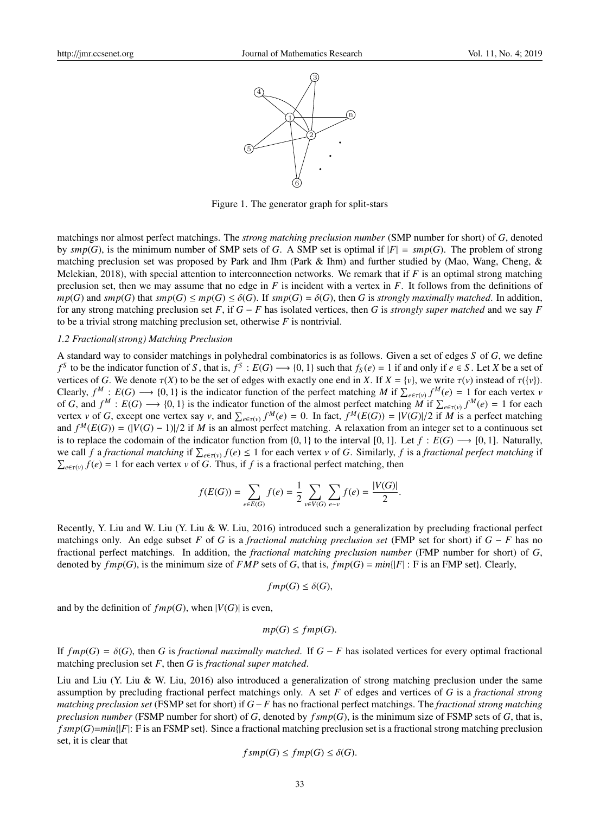

Figure 1. The generator graph for split-stars

matchings nor almost perfect matchings. The *strong matching preclusion number* (SMP number for short) of *G*, denoted by  $smp(G)$ , is the minimum number of SMP sets of *G*. A SMP set is optimal if  $|F| = smp(G)$ . The problem of strong matching preclusion set was proposed by Park and Ihm (Park & Ihm) and further studied by (Mao, Wang, Cheng, & Melekian, 2018), with special attention to interconnection networks. We remark that if *F* is an optimal strong matching preclusion set, then we may assume that no edge in *F* is incident with a vertex in *F*. It follows from the definitions of  $mp(G)$  and  $smp(G)$  that  $smp(G) \leq mp(G) \leq \delta(G)$ . If  $smp(G) = \delta(G)$ , then *G* is *strongly maximally matched*. In addition, for any strong matching preclusion set *F*, if *G* − *F* has isolated vertices, then *G* is *strongly super matched* and we say *F* to be a trivial strong matching preclusion set, otherwise *F* is nontrivial.

#### *1.2 Fractional(strong) Matching Preclusion*

A standard way to consider matchings in polyhedral combinatorics is as follows. Given a set of edges *S* of *G*, we define *f*<sup>S</sup> to be the indicator function of *S*, that is,  $f^S : E(G) \longrightarrow \{0, 1\}$  such that  $f_S(e) = 1$  if and only if  $e \in S$ . Let *X* be a set of vertices of *G*. We denote  $\tau(X)$  to be the set of edges with exactly one end in *X*. If  $X = \{v\}$ , we write  $\tau(v)$  instead of  $\tau(\{v\})$ . Clearly,  $f^M : E(G) \longrightarrow \{0, 1\}$  is the indicator function of the perfect matching *M* if  $\sum_{e \in \tau(v)} f^M(e) = 1$  for each vertex *v* of *G*, and  $f^M : E(G) \longrightarrow \{0, 1\}$  is the indicator function of the almost perfect matching *M* if  $\sum_{e \in \tau(v)} f^M(e) = 1$  for each vertex v of G, except one vertex say v, and  $\sum_{e \in \tau(v)} f^{M}(e) = 0$ . In fact,  $f^{M}(E(G)) = |V(G)|/2$  if M is a perfect matching and  $f^M(E(G)) = (|V(G) - 1)|/2$  if *M* is an almost perfect matching. A relaxation from an integer set to a continuous set is to replace the codomain of the indicator function from  $\{0, 1\}$  to the interval  $[0, 1]$ . Let  $f : E(G) \longrightarrow [0, 1]$ . Naturally, we call *f* a *fractional matching* if  $\sum_{e \in \tau(v)} f(e) \leq 1$  for each vertex *v* of *G*. Similarly, *f* is a *fractional perfect matching* if  $\sum_{e \in \tau(v)} f(e) = 1$  for each vertex *v* of *G*. Thus, if *f* is a fractional perfect matching, then

$$
f(E(G)) = \sum_{e \in E(G)} f(e) = \frac{1}{2} \sum_{v \in V(G)} \sum_{e \sim v} f(e) = \frac{|V(G)|}{2}.
$$

Recently, Y. Liu and W. Liu (Y. Liu & W. Liu, 2016) introduced such a generalization by precluding fractional perfect matchings only. An edge subset *F* of *G* is a *fractional matching preclusion set* (FMP set for short) if *G* − *F* has no fractional perfect matchings. In addition, the *fractional matching preclusion number* (FMP number for short) of *G*, denoted by  $fmp(G)$ , is the minimum size of  $FMP$  sets of *G*, that is,  $fmp(G) = min\{|F| : F$  is an FMP set}. Clearly,

$$
fmp(G) \le \delta(G),
$$

and by the definition of  $fmp(G)$ , when  $|V(G)|$  is even,

$$
mp(G) \leq fmp(G).
$$

If  $fmp(G) = \delta(G)$ , then *G* is *fractional maximally matched*. If  $G - F$  has isolated vertices for every optimal fractional matching preclusion set *F*, then *G* is *fractional super matched*.

Liu and Liu (Y. Liu & W. Liu, 2016) also introduced a generalization of strong matching preclusion under the same assumption by precluding fractional perfect matchings only. A set *F* of edges and vertices of *G* is a *fractional strong matching preclusion set* (FSMP set for short) if *G* −*F* has no fractional perfect matchings. The *fractional strong matching preclusion number* (FSMP number for short) of *G*, denoted by *f smp*(*G*), is the minimum size of FSMP sets of *G*, that is, *f smp*(*G*)=*min*{|*F*|: F is an FSMP set}. Since a fractional matching preclusion set is a fractional strong matching preclusion set, it is clear that

$$
f s m p(G) \le f m p(G) \le \delta(G).
$$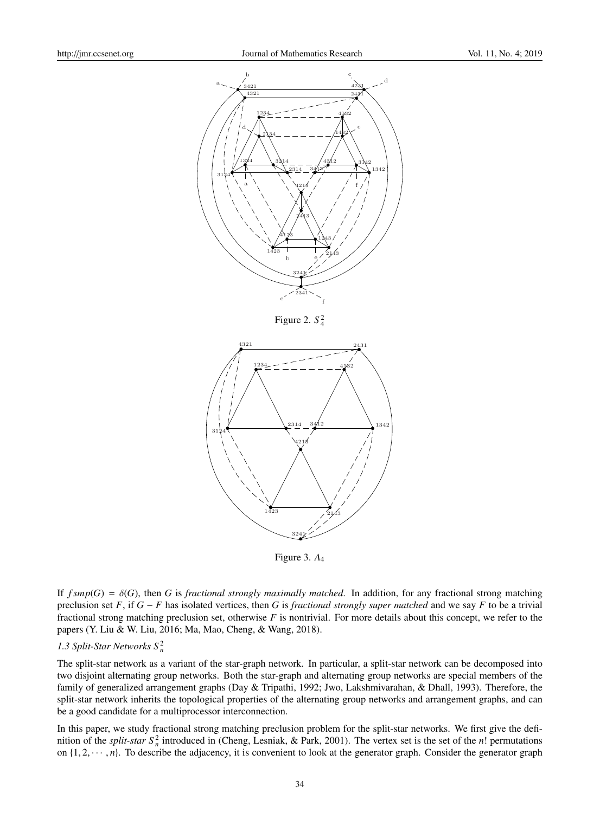

Figure 2.  $S_4^2$ 



Figure 3. *A*<sup>4</sup>

If  $f smp(G) = \delta(G)$ , then *G* is *fractional strongly maximally matched*. In addition, for any fractional strong matching preclusion set *F*, if *G* − *F* has isolated vertices, then *G* is *fractional strongly super matched* and we say *F* to be a trivial fractional strong matching preclusion set, otherwise *F* is nontrivial. For more details about this concept, we refer to the papers (Y. Liu & W. Liu, 2016; Ma, Mao, Cheng, & Wang, 2018).

# *1.3 Split-Star Networks S* <sup>2</sup> *n*

The split-star network as a variant of the star-graph network. In particular, a split-star network can be decomposed into two disjoint alternating group networks. Both the star-graph and alternating group networks are special members of the family of generalized arrangement graphs (Day & Tripathi, 1992; Jwo, Lakshmivarahan, & Dhall, 1993). Therefore, the split-star network inherits the topological properties of the alternating group networks and arrangement graphs, and can be a good candidate for a multiprocessor interconnection.

In this paper, we study fractional strong matching preclusion problem for the split-star networks. We first give the definition of the *split-star*  $S_n^2$  introduced in (Cheng, Lesniak, & Park, 2001). The vertex set is the set of the *n*! permutations on  $\{1, 2, \dots, n\}$ . To describe the adjacency, it is convenient to look at the generator graph. Consider the generator graph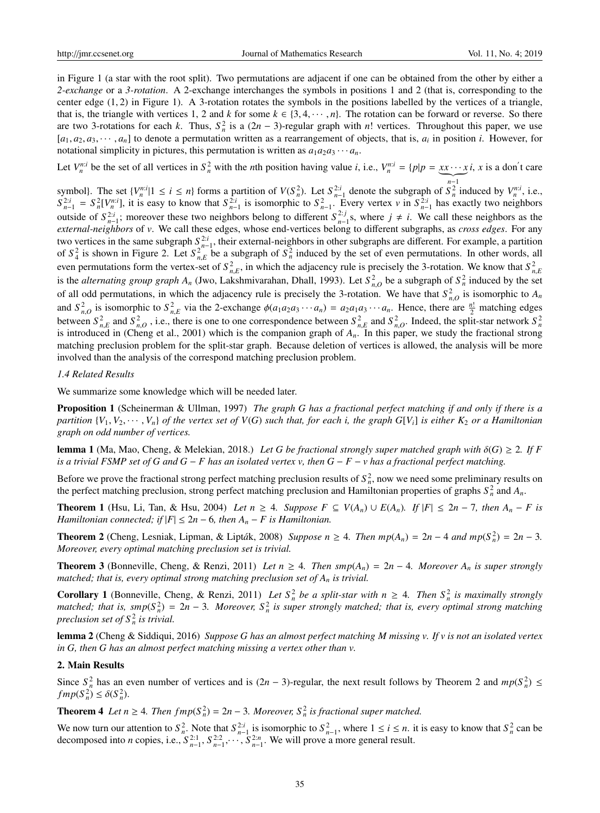in Figure 1 (a star with the root split). Two permutations are adjacent if one can be obtained from the other by either a *2-exchange* or a *3-rotation*. A 2-exchange interchanges the symbols in positions 1 and 2 (that is, corresponding to the center edge (1, 2) in Figure 1). A 3-rotation rotates the symbols in the positions labelled by the vertices of a triangle, that is, the triangle with vertices 1, 2 and *k* for some  $k \in \{3, 4, \dots, n\}$ . The rotation can be forward or reverse. So there are two 3-rotations for each *k*. Thus,  $S_n^2$  is a  $(2n - 3)$ -regular graph with *n*! vertices. Throughout this paper, we use  $[a_1, a_2, a_3, \dots, a_n]$  to denote a permutation written as a rearrangement of objects, that is,  $a_i$  in position *i*. However, for notational simplicity in pictures, this permutation is written as  $a_1a_2a_3\cdots a_n$ .

Let  $V_n^{n,i}$  be the set of all vertices in  $S_n^2$  with the *n*th position having value *i*, i.e.,  $V_n^{n,i} = \{p | p = \underbrace{xx \cdots x}_{n-1} i, x$  is a don't care

symbol). The set  $\{V_n^{n,i}|1 \le i \le n\}$  forms a partition of  $V(S_n^2)$ . Let  $S_{n-1}^{2:i}$  denote the subgraph of  $S_n^{n-1}$  induced by  $V_n^{n:i}$ , i.e.,  $S_{n-1}^{2:i} = S_n^2[V_n^{n:i}]$ , it is easy to know that  $S_{n-1}^{2:i}$  is isomorphic to  $S_{n-1}^2$ . Every vertex v in  $S_{n-1}^{2:i}$  has exactly two neighbors outside of  $S_{n-1}^{2:i}$ ; moreover these two neighbors belong to different  $S_{n-1}^{2:j}$ s, where  $j \neq i$ . We call these neighbors as the  $2:i$  · moreover these two neighbors belong to different  $S^{2:j}$ *external-neighbors* of *v*. We call these edges, whose end-vertices belong to different subgraphs, as *cross edges*. For any two vertices in the same subgraph  $S_{n-1}^{2:i}$ , their external-neighbors in other subgraphs are different. For example, a partition of  $S_4^2$  is shown in Figure 2. Let  $S_{n,E}^2$  be a subgraph of  $S_n^2$  induced by the set of even permutations. In other words, all even permutations form the vertex-set of  $S^2_{n,E}$ , in which the adjacency rule is precisely the 3-rotation. We know that  $S^2_{n,E}$ is the *alternating group graph A<sub>n</sub>* (Jwo, Lakshmivarahan, Dhall, 1993). Let  $S^2_{n,0}$  be a subgraph of  $S^2_n$  induced by the set of all odd permutations, in which the adjacency rule is precisely the 3-rotation. We have that  $S^2_{n,O}$  is isomorphic to  $A_n$ and  $S_{n,O}^2$  is isomorphic to  $S_{n,E}^2$  via the 2-exchange  $\phi(a_1a_2a_3\cdots a_n) = a_2a_1a_3\cdots a_n$ . Hence, there are  $\frac{n!}{2}$  matching edges between  $S_{n,E}^2$  and  $S_{n,O}^2$ , i.e., there is one to one correspondence between  $S_{n,E}^2$  and  $S_{n,O}^2$ . Indeed, the split-star network  $S_n^2$ is introduced in (Cheng et al., 2001) which is the companion graph of  $A_n$ . In this paper, we study the fractional strong matching preclusion problem for the split-star graph. Because deletion of vertices is allowed, the analysis will be more involved than the analysis of the correspond matching preclusion problem.

#### *1.4 Related Results*

We summarize some knowledge which will be needed later.

Proposition 1 (Scheinerman & Ullman, 1997) *The graph G has a fractional perfect matching if and only if there is a partition*  $\{V_1, V_2, \cdots, V_n\}$  *of the vertex set of*  $V(G)$  *such that, for each i, the graph*  $G[V_i]$  *is either*  $K_2$  *or a Hamiltonian graph on odd number of vertices.*

lemma 1 (Ma, Mao, Cheng, & Melekian, 2018.) Let G be fractional strongly super matched graph with  $\delta(G) \geq 2$ . If F *is a trivial FSMP set of G and G* − *F has an isolated vertex v, then G* − *F* − *v has a fractional perfect matching.*

Before we prove the fractional strong perfect matching preclusion results of  $S_n^2$ , now we need some preliminary results on the perfect matching preclusion, strong perfect matching preclusion and Hamiltonian properties of graphs  $S_n^2$  and  $A_n$ .

**Theorem 1** (Hsu, Li, Tan, & Hsu, 2004) Let  $n \geq 4$ . Suppose  $F \subseteq V(A_n) \cup E(A_n)$ . If  $|F| \leq 2n - 7$ , then  $A_n - F$  is *Hamiltonian connected; if*  $|F| \leq 2n - 6$ *, then*  $A_n - F$  *is Hamiltonian.* 

**Theorem 2** (Cheng, Lesniak, Lipman, & Lipták, 2008) *Suppose n* ≥ 4*. Then*  $mp(A_n) = 2n - 4$  *and*  $mp(S_n^2) = 2n - 3$ *. Moreover, every optimal matching preclusion set is trivial.*

**Theorem 3** (Bonneville, Cheng, & Renzi, 2011) *Let*  $n \geq 4$ *. Then*  $\text{smp}(A_n) = 2n - 4$ *. Moreover*  $A_n$  *is super strongly matched; that is, every optimal strong matching preclusion set of A<sup>n</sup> is trivial.*

**Corollary 1** (Bonneville, Cheng, & Renzi, 2011) Let  $S_n^2$  be a split-star with  $n \geq 4$ . Then  $S_n^2$  is maximally strongly *matched; that is, smp*( $S_n^2$ ) = 2*n* − 3*. Moreover,*  $S_n^2$  *is super strongly matched; that is, every optimal strong matching preclusion set of S* <sup>2</sup> *n is trivial.*

lemma 2 (Cheng & Siddiqui, 2016) *Suppose G has an almost perfect matching M missing v. If v is not an isolated vertex in G, then G has an almost perfect matching missing a vertex other than v.*

#### 2. Main Results

Since  $S_n^2$  has an even number of vertices and is  $(2n - 3)$ -regular, the next result follows by Theorem 2 and  $mp(S_n^2) \le$  $fmp(S_n^2) \leq \delta(S_n^2).$ 

**Theorem 4** Let  $n \geq 4$ . Then  $fmp(S_n^2) = 2n - 3$ . Moreover,  $S_n^2$  is fractional super matched.

We now turn our attention to  $S_n^2$ . Note that  $S_{n-1}^{2i}$  is isomorphic to  $S_{n-1}^2$ , where  $1 \le i \le n$ . it is easy to know that  $S_n^2$  can be decomposed into *n* copies, i.e.,  $S_{n-1}^{2:1}, S_{n-1}^{2:2}, \cdots, S_{n-1}^{2:n}$ . We will prove a more general result.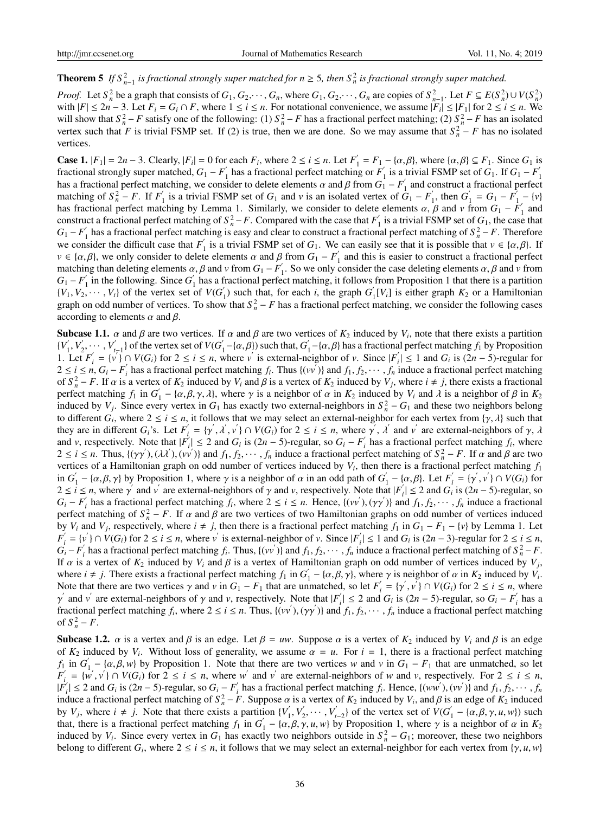# **Theorem 5** If  $S_{n-1}^2$  is fractional strongly super matched for  $n \geq 5$ , then  $S_n^2$  is fractional strongly super matched.

*Proof.* Let  $S_n^2$  be a graph that consists of  $G_1, G_2, \dots, G_n$ , where  $G_1, G_2, \dots, G_n$  are copies of  $S_{n-1}^2$ . Let  $F \subseteq E(S_n^2) \cup V(S_n^2)$ with  $|F| \le 2n - 3$ . Let  $F_i = G_i \cap F$ , where  $1 \le i \le n$ . For notational convenience, we assume  $|F_i| \le |F_1|$  for  $2 \le i \le n$ . We will show that  $S_n^2 - F$  satisfy one of the following: (1)  $S_n^2 - F$  has a fractional perfect matching; (2)  $S_n^2 - F$  has an isolated vertex such that *F* is trivial FSMP set. If (2) is true, then we are done. So we may assume that  $S_n^2 - F$  has no isolated vertices.

**Case 1.**  $|F_1| = 2n - 3$ . Clearly,  $|F_i| = 0$  for each  $F_i$ , where 2 ≤ *i* ≤ *n*. Let  $F'_i$  $a'_1 = F_1 - \{\alpha, \beta\}$ , where  $\{\alpha, \beta\} \subseteq F_1$ . Since  $G_1$  is fractional strongly super matched,  $G_1 - F_1'$  $\frac{1}{1}$  has a fractional perfect matching or  $F_1'$  $\frac{1}{1}$  is a trivial FSMP set of *G*<sub>1</sub>. If *G*<sub>1</sub> − *F*<sup>1</sup> 1 has a fractional perfect matching, we consider to delete elements  $\alpha$  and  $\beta$  from  $G_1 - F_1'$  $\frac{1}{1}$  and construct a fractional perfect matching of  $S_n^2 - F$ . If  $F_1'$  $\frac{1}{1}$  is a trivial FSMP set of  $G_1$  and  $\nu$  is an isolated vertex of  $G_1 - F_1'$  $J_1'$ , then  $G'_1$  $S_1' = G_1 - F_1'$  $\binom{v'}{1} - \{v\}$ has fractional perfect matching by Lemma 1. Similarly, we consider to delete elements  $\alpha, \beta$  and  $\nu$  from  $G_1 - F_1$  $\int_1$  and construct a fractional perfect matching of  $S_n^2 - F$ . Compared with the case that  $F_1'$  $I_1$  is a trivial FSMP set of  $G_1$ , the case that  $G_1 - F_1'$  $\int_1^2$  has a fractional perfect matching is easy and clear to construct a fractional perfect matching of  $S_n^2 - F$ . Therefore we consider the difficult case that  $F'$  $\frac{1}{1}$  is a trivial FSMP set of  $G_1$ . We can easily see that it is possible that  $v \in \{\alpha, \beta\}$ . If  $v \in \{\alpha, \beta\}$ , we only consider to delete elements  $\alpha$  and  $\beta$  from  $G_1 - F_1'$  $\frac{1}{1}$  and this is easier to construct a fractional perfect matching than deleting elements  $\alpha$ ,  $\beta$  and  $\nu$  from  $G_1 - F_1'$  $\int_1^{\pi}$ . So we only consider the case deleting elements  $\alpha$ ,  $\beta$  and  $\nu$  from  $G_1 - F_1'$  $\int_1$  in the following. Since *G*<sup> $\int$ </sup>  $\frac{1}{1}$  has a fractional perfect matching, it follows from Proposition 1 that there is a partition  ${V_1, V_2, \cdots, V_t}$  of the vertex set of  $V(G)$  $\binom{1}{1}$  such that, for each *i*, the graph *G*<sup> $\binom{1}{2}$ </sup>  $I_1[V_i]$  is either graph  $K_2$  or a Hamiltonian graph on odd number of vertices. To show that  $S_n^2 - F$  has a fractional perfect matching, we consider the following cases according to elements  $\alpha$  and  $\beta$ .

**Subcase 1.1.**  $\alpha$  and  $\beta$  are two vertices. If  $\alpha$  and  $\beta$  are two vertices of  $K_2$  induced by  $V_i$ , note that there exists a partition  ${V}'_1$  $'_{1}, V'_{2}$  $V'_{t-1}$  of the vertex set of *V*(*G*<sup>'</sup>  $\mathcal{L}_1'$  –{ $\alpha$ , $\beta$ }) such that,  $G'$  $\int_1^1 -\{\alpha, \beta\}$  has a fractional perfect matching  $f_1$  by Proposition 1. Let  $F_i'$  $\mathbf{y}'_i = \{v \} \cap V(G_i)$  for  $2 \le i \le n$ , where *v* is external-neighbor of *v*. Since  $|F'_i|$  $|I'_i| \leq 1$  and  $G_i$  is  $(2n - 5)$ -regular for 2 ≤ *i* ≤ *n*, *G*<sub>*i*</sub> − *F*<sup><sup>*i*</sup></sup>  $f_i$  has a fractional perfect matching  $f_i$ . Thus  $\{(vv')\}$  and  $f_1, f_2, \dots, f_n$  induce a fractional perfect matching of  $S_n^2 - F$ . If  $\alpha$  is a vertex of  $K_2$  induced by  $V_i$  and  $\beta$  is a vertex of  $K_2$  induced by  $V_j$ , where  $i \neq j$ , there exists a fractional perfect matching  $f_1$  in  $G'_1$  $\alpha'_1$  – { $\alpha, \beta, \gamma, \lambda$ }, where  $\gamma$  is a neighbor of  $\alpha$  in  $K_2$  induced by  $V_i$  and  $\lambda$  is a neighbor of  $\beta$  in  $K_2$ induced by  $V_j$ . Since every vertex in  $G_1$  has exactly two external-neighbors in  $S_n^2 - G_1$  and these two neighbors belong to different  $G_i$ , where  $2 \le i \le n$ , it follows that we may select an external-neighbor for each vertex from  $\{\gamma, \lambda\}$  such that they are in different  $G_i$ 's. Let  $F_i'$  $\alpha'_{i} = {\gamma', \lambda', \nu'} \cap V(G_i)$  for  $2 \leq i \leq n$ , where  $\gamma', \lambda'$  and  $\nu'$  are external-neighbors of  $\gamma, \lambda$ and *v*, respectively. Note that  $|F'_i\rangle$  $\left| \sum_{i=1}^{N} \right| \leq 2$  and *G<sub>i</sub>* is  $(2n - 5)$ -regular, so  $G_i - F_i'$  $\int_i$  has a fractional perfect matching  $f_i$ , where  $2 \le i \le n$ . Thus,  $\{(\gamma\gamma'), (\lambda\lambda'), (\nu\gamma')\}$  and  $f_1, f_2, \cdots, f_n$  induce a fractional perfect matching of  $S_n^2 - F$ . If  $\alpha$  and  $\beta$  are two vertices of a Hamiltonian graph on odd number of vertices induced by *V<sup>i</sup>* , then there is a fractional perfect matching *f*<sup>1</sup> in *G* ′  $\sigma'_1$  – { $\alpha$ , $\beta$ , $\gamma$ } by Proposition 1, where  $\gamma$  is a neighbor of  $\alpha$  in an odd path of  $G'_1$  $I_1' - {\alpha, \beta}$ . Let  $F_i'$  $V_i' = {\gamma', v' } \cap V(G_i)$  for  $2 \le i \le n$ , where  $\gamma'$  and  $\nu'$  are external-neighbors of  $\gamma$  and  $\nu$ , respectively. Note that  $|F|$  $C_i$   $\leq$  2 and *G<sub>i</sub>* is  $(2n - 5)$ -regular, so  $G_i - F_i^{'}$  $f_i$  has a fractional perfect matching  $f_i$ , where  $2 \le i \le n$ . Hence,  $\{(vv'), (\gamma\gamma')\}$  and  $f_1, f_2, \dots, f_n$  induce a fractional perfect matching of  $S_n^2 - F$ . If  $\alpha$  and  $\beta$  are two vertices of two Hamiltonian graphs on odd number of vertices induced by *V<sub>i</sub>* and *V<sub>j</sub>*, respectively, where  $i \neq j$ , then there is a fractional perfect matching  $f_1$  in  $G_1 - F_1 - \{v\}$  by Lemma 1. Let *F* ′  $V_i = \{v' \} \cap V(G_i)$  for  $2 \le i \le n$ , where *v*<sup>'</sup> is external-neighbor of *v*. Since  $|F_i|$  $y'$ <sub>i</sub> ≤ 1 and *G*<sup>*i*</sup> is (2*n* − 3)-regular for 2 ≤ *i* ≤ *n*,  $G_i - F_i'$  $f_i$  has a fractional perfect matching  $f_i$ . Thus,  $\{(vv')\}$  and  $f_1, f_2, \dots, f_n$  induce a fractional perfect matching of  $S_n^2 - F$ . If  $\alpha$  is a vertex of  $K_2$  induced by  $V_i$  and  $\beta$  is a vertex of Hamiltonian graph on odd number of vertices induced by  $V_j$ , where  $i \neq j$ . There exists a fractional perfect matching  $f_1$  in  $G'$  $Y_1' - {\alpha, \beta, \gamma}$ , where  $\gamma$  is neighbor of  $\alpha$  in  $K_2$  induced by  $V_i$ . Note that there are two vertices  $\gamma$  and  $\nu$  in  $G_1 - F_1$  that are unmatched, so let  $F_i$  $y'_{i} = \{y', v'\} \cap V(G_{i})$  for  $2 \le i \le n$ , where  $γ$ <sup>*'*</sup> and *v'* are external-neighbors of  $γ$  and *v*, respectively. Note that |*F'*<sub>i</sub>  $Y_i$   $\leq$  2 and *G<sub>i</sub>* is (2*n* − 5)-regular, so *G<sub>i</sub>* − *F'<sub>i</sub> i* has a fractional perfect matching  $f_i$ , where  $2 \le i \le n$ . Thus,  $\{(vv'), (\gamma \gamma')\}$  and  $f_1, f_2, \cdots, f_n$  induce a fractional perfect matching of  $S_n^2 - F$ .

Subcase 1.2.  $\alpha$  is a vertex and  $\beta$  is an edge. Let  $\beta = uw$ . Suppose  $\alpha$  is a vertex of  $K_2$  induced by  $V_i$  and  $\beta$  is an edge of  $K_2$  induced by  $V_i$ . Without loss of generality, we assume  $\alpha = u$ . For  $i = 1$ , there is a fractional perfect matching  $f_1$  in  $G'_1$  $\int_{1}^{1} - \{\alpha, \beta, w\}$  by Proposition 1. Note that there are two vertices *w* and *v* in  $G_1 - F_1$  that are unmatched, so let *F* ′  $\overline{V}_i = \{w', v' \} \cap V(G_i)$  for  $2 \le i \le n$ , where  $w'$  and  $v'$  are external-neighbors of *w* and *v*, respectively. For  $2 \le i \le n$ ,  $|\vec{F}\acute{}_{\!\!j}^{'}$  $G_i$ <sup>*i*</sup> ≤ 2 and *G<sub><i>i*</sub></sub> is (2*n* − 5)-regular, so *G<sub>i</sub>* − *F<sub>i</sub>*<sup>*i*</sup>  $f_i$  has a fractional perfect matching  $f_i$ . Hence,  $\{(ww'), (vv')\}$  and  $f_1, f_2, \dots, f_n$ induce a fractional perfect matching of  $S_n^2 - F$ . Suppose  $\alpha$  is a vertex of  $K_2$  induced by  $V_i$ , and  $\beta$  is an edge of  $K_2$  induced by  $V_j$ , where  $i \neq j$ . Note that there exists a partition  $\{V'_j\}$  $y'_{1}, V'_{2}$  $V'_{t-2}$  of the vertex set of  $V(G)$  $a'_1$  – { $\alpha, \beta, \gamma, u, w$ }) such that, there is a fractional perfect matching  $f_1$  in  $G'$  $\gamma_1' - {\alpha, \beta, \gamma, u, w}$  by Proposition 1, where  $\gamma$  is a neighbor of  $\alpha$  in  $K_2$ induced by  $V_i$ . Since every vertex in  $G_1$  has exactly two neighbors outside in  $S_n^2 - G_1$ ; moreover, these two neighbors belong to different *G*<sub>*i*</sub>, where  $2 \le i \le n$ , it follows that we may select an external-neighbor for each vertex from { $\gamma$ , *u*, *w*}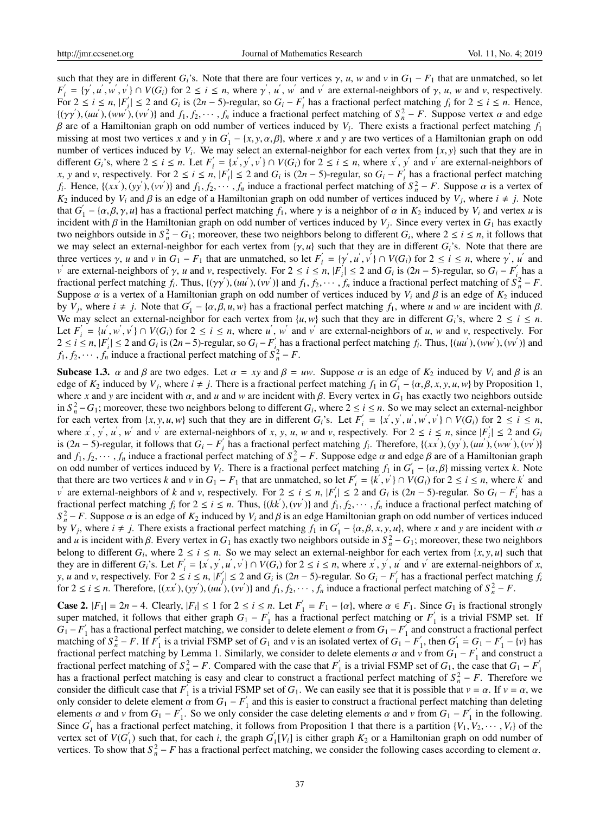such that they are in different *G*<sup>*i*</sup>s. Note that there are four vertices  $\gamma$ , *u*, *w* and *v* in *G*<sub>1</sub> − *F*<sub>1</sub> that are unmatched, so let  $F'_i = \{ \gamma', u', w', v' \} \cap V(G_i)$  for  $2 \le i \le n$ , where  $\gamma', u', w'$  and  $v'$  are external-neighbors of  $\gamma, u, w$  and  $v$ , respectively. For  $2 \le i \le n$ ,  $|F'_i|$  $G_i$ <sup>'</sup> $\leq$  2 and  $G_i$  is (2*n* − 5)-regular, so  $G_i$  −  $F_i'$ *i*<sub>*i*</sub> has a fractional perfect matching  $f_i$  for  $2 \le i \le n$ . Hence,  $\{(\gamma\gamma'), (uu'), (ww'), (vv')\}$  and  $f_1, f_2, \dots, f_n$  induce a fractional perfect matching of  $S_n^2 - F$ . Suppose vertex  $\alpha$  and edge β are of a Hamiltonian graph on odd number of vertices induced by *V<sup>i</sup>* . There exists a fractional perfect matching *f*<sup>1</sup> missing at most two vertices *x* and *y* in  $G'$  $\mathcal{L}_1 - \{x, y, \alpha, \beta\}$ , where *x* and *y* are two vertices of a Hamiltonian graph on odd number of vertices induced by  $V_i$ . We may select an external-neighbor for each vertex from  $\{x, y\}$  such that they are in different  $G_i$ 's, where  $2 \le i \le n$ . Let  $F_i'$  $S_i = \{x', y', v'\} \cap V(G_i)$  for  $2 \le i \le n$ , where  $x', y'$  and  $v'$  are external-neighbors of *x*, *y* and *v*, respectively. For  $2 \le i \le n$ ,  $|F'_i|$  $Y_i$   $\leq$  2 and *G<sub>i</sub>* is (2*n* − 5)-regular, so *G<sub>i</sub>* − *F<sub>i</sub>*<sup>*i*</sup></sup>  $\int_{i}$  has a fractional perfect matching *f*<sub>*i*</sub>. Hence, {(*xx*<sup>'</sup>), (*yy*<sup>'</sup>), (*vv*<sup>'</sup>)} and *f*<sub>1</sub>, *f*<sub>2</sub>, · · · · *, f<sub>n</sub>* induce a fractional perfect matching of  $S_n^2 - F$ . Suppose  $\alpha$  is a vertex of *K*<sub>2</sub> induced by *V*<sup>*i*</sup> and  $\beta$  is an edge of a Hamiltonian graph on odd number of vertices induced by *V*<sup>*j*</sup>, where  $i \neq j$ . Note that  $G'$  $J_1 - \{\alpha, \beta, \gamma, u\}$  has a fractional perfect matching  $f_1$ , where  $\gamma$  is a neighbor of  $\alpha$  in  $K_2$  induced by  $V_i$  and vertex  $u$  is incident with β in the Hamiltonian graph on odd number of vertices induced by *V<sup>j</sup>* . Since every vertex in *G*<sup>1</sup> has exactly two neighbors outside in  $S_n^2 - G_1$ ; moreover, these two neighbors belong to different  $G_i$ , where  $2 \le i \le n$ , it follows that we may select an external-neighbor for each vertex from {γ, *u*} such that they are in different *Gi*'s. Note that there are three vertices  $\gamma$ , *u* and *v* in  $G_1 - F_1$  that are unmatched, so let  $F'_i$  $y'_{i} = \{y', u', v'\} \cap V(G_{i})$  for  $2 \le i \le n$ , where  $y', u'$  and *ν*<sup> $'$ </sup> are external-neighbors of γ, *u* and *v*, respectively. For 2 ≤ *i* ≤ *n*, |*F*<sup>*i*</sup>,  $f_i$   $\leq$  2 and *G<sub>i</sub>* is (2*n* − 5)-regular, so *G<sub>i</sub>* − *F<sub>i</sub>*<sup>*i*</sup></sup> *i* has a fractional perfect matching  $f_i$ . Thus,  $\{(\gamma \gamma'), (u u'), (v v')\}$  and  $f_1, f_2, \dots, f_n$  induce a fractional perfect matching of  $S_n^2 - F$ . Suppose  $\alpha$  is a vertex of a Hamiltonian graph on odd number of vertices induced by  $V_i$  and  $\beta$  is an edge of  $K_2$  induced by  $V_j$ , where  $i \neq j$ . Note that  $G'_j$  $\int_1^{\pi}$  – { $\alpha, \beta, u, w$ } has a fractional perfect matching  $f_1$ , where *u* and *w* are incident with  $\beta$ . We may select an external-neighbor for each vertex from  $\{u, w\}$  such that they are in different  $G_i$ 's, where  $2 \le i \le n$ . Let  $F_i'$  $u'_{i} = \{u', w', v'\} \cap V(G_{i})$  for  $2 \le i \le n$ , where u', w' and v' are external-neighbors of u, w and v, respectively. For  $2 \le i \le n, |F|$  $S_i$ <sup>*i*</sup> ≤ 2 and *G<sub>i</sub>* is (2*n* − 5)-regular, so *G<sub>i</sub>* − *F<sub>i</sub>*<sup>*i*</sup>  $f_i$  has a fractional perfect matching  $f_i$ . Thus,  $\{(uu'), (ww'), (vv')\}$  and *f*<sub>1</sub>, *f*<sub>2</sub>, · · · *, f<sub>n</sub>* induce a fractional perfect matching of  $S_n^2 - F$ .

Subcase 1.3.  $\alpha$  and  $\beta$  are two edges. Let  $\alpha = xy$  and  $\beta = uw$ . Suppose  $\alpha$  is an edge of  $K_2$  induced by  $V_i$  and  $\beta$  is an edge of  $K_2$  induced by  $V_j$ , where  $i \neq j$ . There is a fractional perfect matching  $f_1$  in  $G'$  $\int_1^{\prime} - \{\alpha, \beta, x, y, u, w\}$  by Proposition 1, where *x* and *y* are incident with  $\alpha$ , and *u* and *w* are incident with  $\beta$ . Every vertex in  $G_1$  has exactly two neighbors outside in  $S_n^2$  − *G*<sub>1</sub>; moreover, these two neighbors belong to different *G*<sub>*i*</sub>, where 2 ≤ *i* ≤ *n*. So we may select an external-neighbor for each vertex from  $\{x, y, u, w\}$  such that they are in different  $G_i$ 's. Let  $F_i'$  $y'_{i} = \{x', y', u', w', v'\} \cap V(G_{i})$  for  $2 \le i \le n$ , where *x*<sup>'</sup>, *y*<sup>'</sup>, *u*<sup>'</sup>, *w*<sup>'</sup> and *v*<sup>'</sup> are external-neighbors of *x*, *y*, *u*, *w* and *v*, respectively. For  $2 \le i \le n$ , since  $|F_i^{\prime}|$  $|G_i| \leq 2$  and  $G_i$ is  $(2n - 5)$ -regular, it follows that  $G_i - F'_i$  $f_i$  has a fractional perfect matching  $f_i$ . Therefore, {(*xx'*), (*yy'*), (*uu'*), (*ww'*), (*vv'*)} and  $f_1, f_2, \dots, f_n$  induce a fractional perfect matching of  $S_n^2 - F$ . Suppose edge  $\alpha$  and edge  $\beta$  are of a Hamiltonian graph on odd number of vertices induced by  $V_i$ . There is a fractional perfect matching  $f_1$  in  $G'$  $\mathbf{I}_1 - \{\alpha, \beta\}$  missing vertex *k*. Note that there are two vertices *k* and *v* in  $G_1 - F_1$  that are unmatched, so let  $F_i'$  $\overline{V}_i = \{\overline{k}', \overline{v}'\} \cap \overline{V}(G_i)$  for  $2 \le i \le n$ , where  $\overline{k}'$  and *v*<sup> $\prime$ </sup> are external-neighbors of *k* and *v*, respectively. For  $2 \le i \le n$ ,  $|F_i|$  $S_i' \leq 2$  and *G<sub>i</sub>* is  $(2n - 5)$ -regular. So  $G_i - F_i'$ *i* has a fractional perfect matching  $f_i$  for  $2 \le i \le n$ . Thus,  $\{(kk'), (vv')\}$  and  $f_1, f_2, \dots, f_n$  induce a fractional perfect matching of  $S_n^2 - F$ . Suppose  $\alpha$  is an edge of  $K_2$  induced by  $V_i$  and  $\beta$  is an edge Hamiltonian graph on odd number of vertices induced by  $V_j$ , where  $i \neq j$ . There exists a fractional perfect matching  $f_1$  in  $G'_j$  $\alpha_1' - {\alpha, \beta, x, y, u}$ , where *x* and *y* are incident with  $\alpha$ and *u* is incident with  $\beta$ . Every vertex in  $G_1$  has exactly two neighbors outside in  $S_n^2 - G_1$ ; moreover, these two neighbors belong to different  $G_i$ , where  $2 \le i \le n$ . So we may select an external-neighbor for each vertex from  $\{x, y, u\}$  such that they are in different  $G_i$ 's. Let  $F_i'$  $y'_{i} = \{x', y', u', v'\} \cap V(G_i)$  for  $2 \le i \le n$ , where  $x', y', u'$  and  $v'$  are external-neighbors of *x*, *y*, *u* and *v*, respectively. For  $2 \le i \le n$ ,  $|F|$  $\left| \int_{i}^{i} \right|$  ≤ 2 and *G*<sub>*i*</sub> is (2*n* − 5)-regular. So *G*<sub>*i*</sub> − *F*<sup> $'$ </sup><sub>*i*</sub>  $i \le i \le n$ ,  $|F'_i| \le 2$  and  $G_i$  is  $(2n-5)$ -regular. So  $G_i - F'_i$  has a fractional perfect matching  $f_i$ for  $2 \le i \le n$ . Therefore,  $\{(xx'), (yy'), (uu'), (vv')\}$  and  $f_1, f_2, \dots, f_n$  induce a fractional perfect matching of  $S_n^2 - F$ .

**Case 2.**  $|F_1| = 2n - 4$ . Clearly,  $|F_i| \le 1$  for  $2 \le i \le n$ . Let  $F'_1 = F_1 - \{\alpha\}$ , where  $\alpha \in F_1$ . Since  $G_1$  is fractional strongly super matched, it follows that either graph  $G_1 - F'_1$  has a figure matched, it follows that either graph  $G_1 - F'_1$  has a figure.  $\frac{1}{1}$  has a fractional perfect matching or  $F_1'$  $i_1$  is a trivial FSMP set. If  $G_1 - F_1'$  $\frac{1}{1}$  has a fractional perfect matching, we consider to delete element  $\alpha$  from  $G_1 - F_1$  $\frac{1}{1}$  and construct a fractional perfect matching of  $S_n^2 - F$ . If  $F_1$  $\frac{1}{1}$  is a trivial FSMP set of *G*<sub>1</sub> and *v* is an isolated vertex of *G*<sub>1</sub> − *F*<sup>1</sup>  $\int_1$ , then  $G'_1$  $S_1' = G_1 - F_2'$  $y'_{1} - \{v\}$  has fractional perfect matching by Lemma 1. Similarly, we consider to delete elements  $\alpha$  and  $\overrightarrow{v}$  from  $G_1 - F_1$  $\frac{1}{1}$  and construct a fractional perfect matching of  $S_n^2 - F$ . Compared with the case that  $F_1'$  $G_1$  is a trivial FSMP set of  $G_1$ , the case that  $G_1 - F_1$ 1 has a fractional perfect matching is easy and clear to construct a fractional perfect matching of  $S_n^2 - F$ . Therefore we consider the difficult case that  $F_1'$ <sup>1</sup> is a trivial FSMP set of  $G_1$ . We can easily see that it is possible that  $v = \alpha$ . If  $v = \alpha$ , we only consider to delete element  $\alpha$  from  $G_1 - F_1'$ <sup>1</sup> and this is easier to construct a fractional perfect matching than deleting elements  $\alpha$  and  $\nu$  from  $G_1 - F'_1$ 1. So we only consider the case deleting elements  $\alpha$  and  $\nu$  from  $G_1 - F_1'$  $i_1$  in the following. Since *G*<sup>'</sup>  $\int_1^L$  has a fractional perfect matching, it follows from Proposition 1 that there is a partition  $\{V_1, V_2, \dots, V_t\}$  of the vertex set of  $V(G)$  $\binom{1}{1}$  such that, for each *i*, the graph *G*<sup> $\binom{1}{1}$ </sup>  $\int_{1}^{1} [V_{i}]$  is either graph  $K_{2}$  or a Hamiltonian graph on odd number of vertices. To show that  $S_n^2 - F$  has a fractional perfect matching, we consider the following cases according to element  $\alpha$ .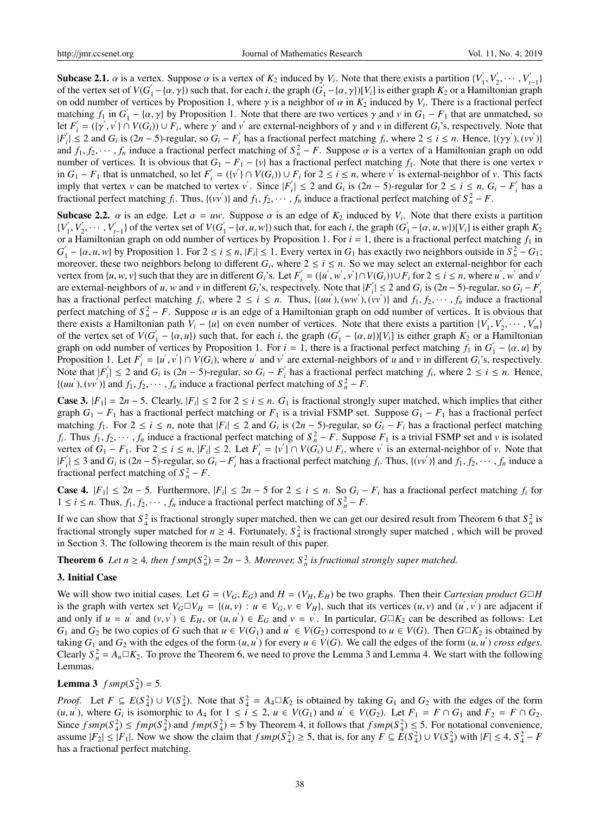**Subcase 2.1.**  $\alpha$  is a vertex. Suppose  $\alpha$  is a vertex of  $K_2$  induced by  $V_i$ . Note that there exists a partition  $\{V_i\}$  $y'_{1}, V'_{2}$  $V'_{2}, \cdots, V'_{t-1}$ of the vertex set of  $V(G)$  $\mathbf{I}_1 - \{ \alpha, \gamma \}$ ) such that, for each *i*, the graph ( $\mathbf{G}'$  $I'_1 - {\alpha, \gamma}$ )[ $V_i$ ] is either graph  $K_2$  or a Hamiltonian graph on odd number of vertices by Proposition 1, where  $\gamma$  is a neighbor of  $\alpha$  in  $K_2$  induced by  $V_i$ . There is a fractional perfect matching  $f_1$  in  $G'_1$  $\gamma_1'$  − { $\alpha$ ,  $\gamma$ } by Proposition 1. Note that there are two vertices  $\gamma$  and  $\nu$  in  $G_1 - F_1$  that are unmatched, so let  $F_i'$  $\gamma'_{i} = (\{\gamma', v'\} \cap V(G_{i})) \cup F_{i}$ , where  $\gamma'$  and  $v'$  are external-neighbors of  $\gamma$  and  $v$  in different  $G_{i}$ 's, respectively. Note that  $|F_{i}^{^{\prime}}\>$  $f_i$ <sup> $\leq$ </sup> 2 and *G<sub>i</sub>* is (2*n* − 5)-regular, so *G<sub>i</sub>* − *F'<sub>i</sub>*  $f_i$  has a fractional perfect matching  $f_i$ , where  $2 \le i \le n$ . Hence,  $\{(\gamma \gamma'), (\nu \nu')\}$ and  $f_1, f_2, \dots, f_n$  induce a fractional perfect matching of  $S_n^2 - F$ . Suppose  $\alpha$  is a vertex of a Hamiltonian graph on odd number of vertices. It is obvious that  $G_1 - F_1 - \{v\}$  has a fractional perfect matching  $f_1$ . Note that there is one vertex *v* in  $G_1 - F_1$  that is unmatched, so let  $F_i'$  $\mathbf{v}'_i = (\{v' \} \cap V(G_i)) \cup F_i$  for  $2 \le i \le n$ , where  $v'$  is external-neighbor of *v*. This facts imply that vertex *v* can be matched to vertex *v*<sup>'</sup>. Since  $|F'_i\rangle$ *i*<sub>i</sub> ≤ 2 and *G<sub>i</sub>* is (2*n* − 5)-regular for 2 ≤ *i* ≤ *n*, *G<sub>i</sub>* − *F*<sup>*i*</sup></sup> *i* has a fractional perfect matching  $f_i$ . Thus,  $\{(vv')\}$  and  $f_1, f_2, \cdots, f_n$  induce a fractional perfect matching of  $S_n^2 - F$ .

**Subcase 2.2.**  $\alpha$  is an edge. Let  $\alpha = uw$ . Suppose  $\alpha$  is an edge of  $K_2$  induced by  $V_i$ . Note that there exists a partition  ${V}'_1$  $y'_{1}, V'_{2}$  $\{y'_{t-1}\}\$  of the vertex set of *V*(*G*<sup> $\prime$ </sup>)  $\overline{a}_1 - \overline{\{a, u, w\}}$  such that, for each *i*, the graph (*G*<sup> $\overline{a}_2$ </sup>)  $\binom{1}{1} - \{\alpha, u, w\}$ )[ $V_i$ ] is either graph  $K_2$ or a Hamiltonian graph on odd number of vertices by Proposition 1. For  $i = 1$ , there is a fractional perfect matching  $f_1$  in  $G_{\scriptscriptstyle\parallel}'$  $\int_1^b -\{\alpha, u, w\}$  by Proposition 1. For  $2 \le i \le n$ ,  $|F_i| \le 1$ . Every vertex in  $G_1$  has exactly two neighbors outside in  $S_n^2 - G_1$ ; moreover, these two neighbors belong to different  $G_i$ , where  $2 \le i \le n$ . So we may select an external-neighbor for each vertex from  $\{u, w, v\}$  such that they are in different  $G_i$ 's. Let  $F_i'$  $y'_{i} = (\{u', w', v'\} \cap V(G_{i})) \cup F_{i}$  for  $2 \le i \le n$ , where *u'*, *w'* and *v'* are external-neighbors of *u*, *w* and *v* in different  $G_i$ 's, respectively. Note that  $|F_i|$  $I_i' \leq 2$  and  $G_i$  is  $(2n - 5)$ -regular, so  $G_i - F_i'$ *i* has a fractional perfect matching  $f_i$ , where  $2 \le i \le n$ . Thus,  $\{(uu'), (ww'), (vv')\}$  and  $f_1, f_2, \dots, f_n$  induce a fractional perfect matching of  $S_n^2 - F$ . Suppose  $\alpha$  is an edge of a Hamiltonian graph on odd number of vertices. It is obvious that there exists a Hamiltonian path  $V_i - \{u\}$  on even number of vertices. Note that there exists a partition  $\{V_i\}$  $y'_{1}, V'_{2}$  $V'_{2}, \cdots, V'_{m}$ of the vertex set of  $V(G)$  $\int_1^{\prime} - \{\alpha, u\}$ ) such that, for each *i*, the graph (*G*<sup>'</sup>  $N_1 - {\alpha, u}$ )[ $V_i$ ] is either graph  $K_2$  or a Hamiltonian graph on odd number of vertices by Proposition 1. For  $i = 1$ , there is a fractional perfect matching  $f_1$  in  $G'$  $y'_{1} - \{\alpha, u\}$  by Proposition 1. Let  $F_i'$  $y'_{i} = \{u', v'\} \cap V(G_{i})$ , where *u*<sup>'</sup> and *v*<sup>'</sup> are external-neighbors of *u* and *v* in different *G<sub>i</sub>*'s, respectively. Note that  $|F'_i\rangle$  $f_i$   $\leq$  2 and *G<sub>i</sub>* is (2*n* − 5)-regular, so *G<sub>i</sub>* − *F<sub>i</sub>*<sup>*i*</sup></sup> *i*<sup> $i$ </sup> has a fractional perfect matching  $f_i$ , where  $2 \le i \le n$ . Hence,  $\{(uu'), (vv')\}$  and  $f_1, f_2, \dots, f_n$  induce a fractional perfect matching of  $S_n^2 - F$ .

**Case 3.**  $|F_1| = 2n - 5$ . Clearly,  $|F_i| \le 2$  for  $2 \le i \le n$ .  $G_1$  is fractional strongly super matched, which implies that either graph  $G_1 - F_1$  has a fractional perfect matching or  $F_1$  is a trivial FSMP set. Suppose  $G_1 - F_1$  has a fractional perfect matching  $f_1$ . For  $2 \le i \le n$ , note that  $|F_i| \le 2$  and  $G_i$  is  $(2n - 5)$ -regular, so  $G_i - F_i$  has a fractional perfect matching *f*<sub>*i*</sub>. Thus *f*<sub>1</sub>, *f*<sub>2</sub>, · · · *, f<sub>n</sub>* induce a fractional perfect matching of  $S_n^2 - F$ . Suppose  $F_1$  is a trivial FSMP set and *v* is isolated vertex of  $G_1 - F_1$ . For  $2 \le i \le n$ ,  $|F_i| \le 2$ . Let  $F'_i$  $y'_{i} = \{v' \} \cap V(G_{i}) \cup F_{i}$ , where *v*<sup>'</sup> is an external-neighbor of *v*. Note that  $|F_{\scriptscriptstyle j}^{'}$  $S_i$ <sup> $\leq$ </sup> 3 and *G<sub>i</sub>* is (2*n* − 5)-regular, so *G<sub>i</sub>* − *F<sub>i</sub>*<sup>*i*</sup></sup>  $f_i$  has a fractional perfect matching  $f_i$ . Thus,  $\{(vv')\}$  and  $f_1, f_2, \dots, f_n$  induce a fractional perfect matching of  $S_n^2 - F$ .

**Case 4.**  $|F_1|$  ≤ 2*n* − 5. Furthermore,  $|F_i|$  ≤ 2*n* − 5 for 2 ≤ *i* ≤ *n*. So  $G_i$  −  $F_i$  has a fractional perfect matching  $f_i$  for 1 ≤ *i* ≤ *n*. Thus,  $f_1, f_2, \cdots, f_n$  induce a fractional perfect matching of  $S_n^2 - F$ .

If we can show that  $S_4^2$  is fractional strongly super matched, then we can get our desired result from Theorem 6 that  $S_n^2$  is fractional strongly super matched for  $n \geq 4$ . Fortunately,  $S_4^2$  is fractional strongly super matched, which will be proved in Section 3. The following theorem is the main result of this paper.

**Theorem 6** Let  $n \geq 4$ , then  $f smp(S_n^2) = 2n - 3$ . Moreover,  $S_n^2$  is fractional strongly super matched.

#### 3. Initial Case

We will show two initial cases. Let  $G = (V_G, E_G)$  and  $H = (V_H, E_H)$  be two graphs. Then their *Cartesian product*  $G \square H$ is the graph with vertex set  $V_G \square V_H = \{(u, v) : u \in V_G, v \in V_H\}$ , such that its vertices  $(u, v)$  and  $(u', v')$  are adjacent if and only if  $u = u'$  and  $(v, v') \in E_H$ , or  $(u, u') \in E_G$  and  $v = v'$ . In particular,  $G \square K_2$  can be described as follows: Let *G*<sub>1</sub> and *G*<sub>2</sub> be two copies of *G* such that *u* ∈ *V*(*G*<sub>1</sub>) and *u*<sup> $'$ </sup> ∈ *V*(*G*<sub>2</sub>) correspond to *u* ∈ *V*(*G*). Then *G*□*K*<sub>2</sub> is obtained by taking  $G_1$  and  $G_2$  with the edges of the form  $(u, u')$  for every  $u \in V(G)$ . We call the edges of the form  $(u, u')$  cross edges. Clearly  $S_n^2 = A_n \square K_2$ . To prove the Theorem 6, we need to prove the Lemma 3 and Lemma 4. We start with the following Lemmas.

# **Lemma 3**  $f smp(S_4^2) = 5$ .

*Proof.* Let  $F \subseteq E(S_4^2) \cup V(S_4^2)$ . Note that  $S_4^2 = A_4 \square K_2$  is obtained by taking  $G_1$  and  $G_2$  with the edges of the form  $(u, u)$ , where  $G_i$  is isomorphic to  $A_4$  for  $1 \le i \le 2$ ,  $u \in V(G_1)$  and  $u' \in V(G_2)$ . Let  $F_1 = F \cap G_1$  and  $F_2 = F \cap G_2$ . Since  $f smp(S_4^2) \leq fmp(S_4^2)$  and  $fmp(S_4^2) = 5$  by Theorem 4, it follows that  $f smp(S_4^2) \leq 5$ . For notational convenience, assume  $|F_2| \leq |F_1|$ . Now we show the claim that  $f smp(S_4^2) \geq 5$ , that is, for any  $F \subseteq E(S_4^2) \cup V(S_4^2)$  with  $|F| \leq 4$ ,  $S_4^2 - F_4^2$ has a fractional perfect matching.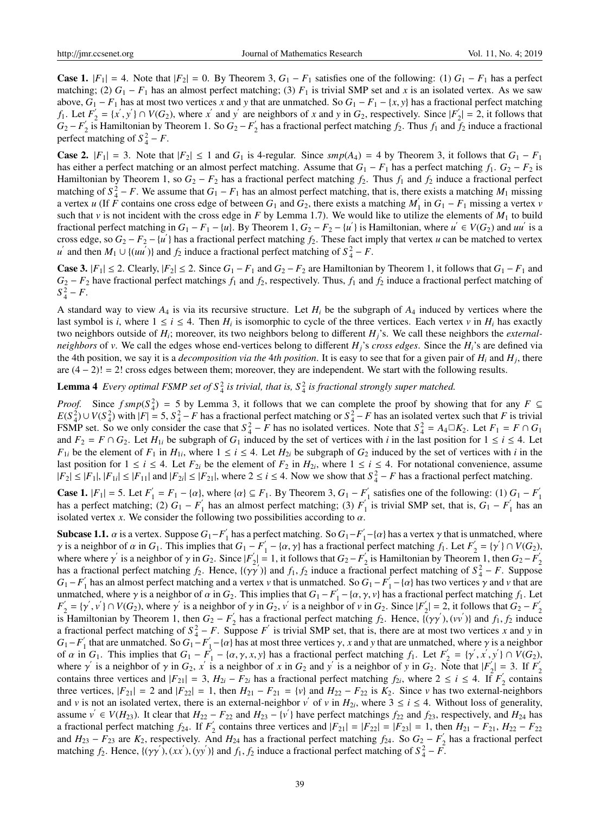**Case 1.**  $|F_1| = 4$ . Note that  $|F_2| = 0$ . By Theorem 3,  $G_1 - F_1$  satisfies one of the following: (1)  $G_1 - F_1$  has a perfect matching; (2)  $G_1 - F_1$  has an almost perfect matching; (3)  $F_1$  is trivial SMP set and *x* is an isolated vertex. As we saw above,  $G_1 - F_1$  has at most two vertices *x* and *y* that are unmatched. So  $G_1 - F_1 - \{x, y\}$  has a fractional perfect matching *f*<sub>1</sub>. Let  $F_2'$  $Z'_2 = \{x', y'\} \cap V(G_2)$ , where *x*<sup>'</sup> and *y*<sup>'</sup> are neighbors of *x* and *y* in *G*<sub>2</sub>, respectively. Since  $|F'_2|$  $2|2| = 2$ , it follows that  $G_2 - F_2'$  $\frac{1}{2}$  is Hamiltonian by Theorem 1. So  $G_2 - F_2'$  $\int_2'$  has a fractional perfect matching  $f_2$ . Thus  $f_1$  and  $f_2$  induce a fractional perfect matching of  $S_4^2 - F$ .

**Case 2.**  $|F_1| = 3$ . Note that  $|F_2| \le 1$  and  $G_1$  is 4-regular. Since  $\text{smp}(A_4) = 4$  by Theorem 3, it follows that  $G_1 - F_1$ has either a perfect matching or an almost perfect matching. Assume that  $G_1 - F_1$  has a perfect matching  $f_1$ .  $G_2 - F_2$  is Hamiltonian by Theorem 1, so  $G_2 - F_2$  has a fractional perfect matching  $f_2$ . Thus  $f_1$  and  $f_2$  induce a fractional perfect matching of  $S_4^2 - F$ . We assume that  $G_1 - F_1$  has an almost perfect matching, that is, there exists a matching  $M_1$  missing a vertex *u* (If  $\vec{F}$  contains one cross edge of between  $G_1$  and  $G_2$ , there exists a matching M  $\int_1'$  in  $G_1 - F_1$  missing a vertex *v* such that *v* is not incident with the cross edge in *F* by Lemma 1.7). We would like to utilize the elements of  $M_1$  to build fractional perfect matching in  $G_1 - F_1 - \{u\}$ . By Theorem 1,  $G_2 - F_2 - \{u'\}$  is Hamiltonian, where  $u' \in V(G_2)$  and  $uu'$  is a cross edge, so  $G_2 - F_2 - \{u\}$  has a fractional perfect matching  $f_2$ . These fact imply that vertex *u* can be matched to vertex *u*<sup> $\prime$ </sup> and then *M*<sub>1</sub> ∪ {(*uu*<sup> $\prime$ </sup>)} and *f*<sub>2</sub> induce a fractional perfect matching of *S*<sup>2</sup><sub>4</sub> − *F*.

**Case 3.**  $|F_1| \leq 2$ . Clearly,  $|F_2| \leq 2$ . Since  $G_1 - F_1$  and  $G_2 - F_2$  are Hamiltonian by Theorem 1, it follows that  $G_1 - F_1$  and  $G_2 - F_2$  have fractional perfect matchings  $f_1$  and  $f_2$ , respectively. Thus,  $f_1$  and  $f_2$  induce a fractional perfect matching of  $S_4^2 - F$ .

A standard way to view *A*<sup>4</sup> is via its recursive structure. Let *H<sup>i</sup>* be the subgraph of *A*<sup>4</sup> induced by vertices where the last symbol is *i*, where  $1 \le i \le 4$ . Then  $H_i$  is isomorphic to cycle of the three vertices. Each vertex  $v$  in  $H_i$  has exactly two neighbors outside of *H<sup>i</sup>* ; moreover, its two neighbors belong to different *Hj*'s. We call these neighbors the *externalneighbors* of *v*. We call the edges whose end-vertices belong to different *Hj*'s *cross edges*. Since the *Hi*'s are defined via the 4th position, we say it is a *decomposition via the* 4*th position*. It is easy to see that for a given pair of *H<sup>i</sup>* and *H<sup>j</sup>* , there are  $(4 - 2)! = 2!$  cross edges between them; moreover, they are independent. We start with the following results.

**Lemma 4** Every optimal FSMP set of  $S_4^2$  is trivial, that is,  $S_4^2$  is fractional strongly super matched.

*Proof.* Since  $f smp(S_4^2) = 5$  by Lemma 3, it follows that we can complete the proof by showing that for any  $F \subseteq$  $E(S_4^2) \cup V(S_4^2)$  with  $|F| = 5$ ,  $S_4^2 - F$  has a fractional perfect matching or  $S_4^2 - F$  has an isolated vertex such that *F* is trivial FSMP set. So we only consider the case that  $S_4^2 - F$  has no isolated vertices. Note that  $S_4^2 = A_4 \Box K_2$ . Let  $F_1 = F \cap G_1$ and  $F_2 = F \cap G_2$ . Let  $H_{1i}$  be subgraph of  $G_1$  induced by the set of vertices with *i* in the last position for  $1 \le i \le 4$ . Let *F*<sub>1</sub>*i* be the element of *F*<sub>1</sub> in *H*<sub>1*i*</sub>, where  $1 \le i \le 4$ . Let *H*<sub>2*i*</sub> be subgraph of *G*<sub>2</sub> induced by the set of vertices with *i* in the last position for  $1 \le i \le 4$ . Let  $F_{2i}$  be the element of  $F_2$  in  $H_{2i}$ , where  $1 \le i \le 4$ . For notational convenience, assume  $|F_2| \leq |F_1|, |F_{1i}| \leq |F_{11}|$  and  $|F_{2i}| \leq |F_{21}|$ , where  $2 \leq i \leq 4$ . Now we show that  $S_4^2 - F$  has a fractional perfect matching.

**Case 1.**  $|F_1| = 5$ . Let  $F'_1$  $T_1' = F_1 - \{\alpha\}$ , where  $\{\alpha\} \subseteq F_1$ . By Theorem 3,  $G_1 - F_1'$  $\frac{1}{1}$  satisfies one of the following: (1)  $G_1 - F_1$ 1 has a perfect matching; (2)  $G_1 - F_1'$  $\frac{1}{1}$  has an almost perfect matching; (3)  $F_1'$  $\int_{1}^{1}$  is trivial SMP set, that is,  $G_1 - F_1$  $i_1'$  has an isolated vertex *x*. We consider the following two possibilities according to  $\alpha$ .

**Subcase 1.1.**  $\alpha$  is a vertex. Suppose  $G_1-F_1'$  $\frac{1}{1}$  has a perfect matching. So  $G_1-F_1$  $\gamma'_{1}$  –{ $\alpha$ } has a vertex  $\gamma$  that is unmatched, where  $\gamma$  is a neighbor of  $\alpha$  in  $G_1$ . This implies that  $G_1 - F_1'$  $f_1$  – { $\alpha$ ,  $\gamma$ } has a fractional perfect matching  $f_1$ . Let  $F_2'$  $V_2' = {\gamma'} \cap V(G_2),$ where where  $\gamma'$  is a neighbor of  $\gamma$  in  $G_2$ . Since  $|F'_2\rangle$  $Z_2'$  = 1, it follows that  $G_2 - F_2'$  $\sum_{i=1}^{N}$  is Hamiltonian by Theorem 1, then  $G_2 - F_2$  $\begin{bmatrix} -1, 0.00008 \text{ that } 0.2 & 1.2 \end{bmatrix}$  is Hammonian by Theorem 1, and  $\begin{bmatrix} 0.2 & 1.2 \end{bmatrix}$ has a fractional perfect matching  $f_2$ . Hence,  $\{(\gamma\gamma')\}$  and  $f_1, f_2$  induce a fractional perfect matching of  $S_4^2 - F$ . Suppose  $G_1 - F'_1$  $\frac{1}{1}$  has an almost perfect matching and a vertex *v* that is unmatched. So  $G_1 - F_1$  $\gamma'_{1}$  – { $\alpha$ } has two vertices  $\gamma$  and  $\nu$  that are unmatched, where  $\gamma$  is a neighbor of  $\alpha$  in  $G_2$ . This implies that  $G_1 - F_1'$  $f_1 - \{\alpha, \gamma, \nu\}$  has a fractional perfect matching  $f_1$ . Let *F* ′  $\gamma'_{2} = {\gamma', \nu' } \cap V(G_2)$ , where  $\gamma'$  is a neighbor of  $\gamma$  in  $G_2$ ,  $\nu'$  is a neighbor of  $\nu$  in  $G_2$ . Since  $|F'_2|$  $Z_2'$  = 2, it follows that  $G_2 - F_2'$ 2 is Hamiltonian by Theorem 1, then  $G_2 - F_2'$  $\mathbf{z}'_2$  has a fractional perfect matching  $f_2$ . Hence,  $\mathbf{i}(\gamma\gamma'),(\nu\nu')\}$  and  $f_1, f_2$  induce a fractional perfect matching of  $S_4^2 - F$ . Suppose *F'* is trivial SMP set, that is, there are at most two vertices *x* and *y* in  $G_1-F_1$  $\int_1^2$  that are unmatched. So  $G_1 - F_1$ <sup> $\int_1^2$ </sup>  $\gamma_1$  – { $\alpha$ } has at most three vertices  $\gamma$ , *x* and *y* that are unmatched, where  $\gamma$  is a neighbor of  $\alpha$  in  $G_1$ . This implies that  $G_1 - F_1$  $I_1^{\prime} - {\alpha, \gamma, x, y}$  has a fractional perfect matching  $f_1$ . Let  $F_2^{\prime}$  $y'_{2} = \{y', x', y'\} \cap V(G_{2}),$ where  $\gamma'$  is a neighbor of  $\gamma$  in  $G_2$ ,  $x'$  is a neighbor of  $x$  in  $G_2$  and  $y'$  is a neighbor of  $y$  in  $G_2$ . Note that  $|F'_2\rangle$  $\binom{1}{2}$  = 3. If *F* 2 contains three vertices and  $|F_{21}| = 3$ ,  $H_{2i} - F_{2i}$  has a fractional perfect matching  $f_{2i}$ , where  $2 \le i \le 4$ . If  $F_i$  $\frac{1}{2}$  contains three vertices,  $|F_{21}| = 2$  and  $|F_{22}| = 1$ , then  $H_{21} - F_{21} = \{v\}$  and  $H_{22} - F_{22}$  is  $K_2$ . Since *v* has two external-neighbors and *v* is not an isolated vertex, there is an external-neighbor  $v'$  of *v* in  $H_{2i}$ , where  $3 \le i \le 4$ . Without loss of generality, assume  $v' \in V(H_{23})$ . It clear that  $H_{22} - F_{22}$  and  $H_{23} - \{v'\}$  have perfect matchings  $f_{22}$  and  $f_{23}$ , respectively, and  $H_{24}$  has a fractional perfect matching  $f_{24}$ . If  $F'_2$  $Z_2$  contains three vertices and  $|F_{21}| = |F_{22}| = |F_{23}| = 1$ , then  $H_{21} - F_{21}$ ,  $H_{22} - F_{22}$ and  $H_{23} - F_{23}$  are  $K_2$ , respectively. And  $H_{24}$  has a fractional perfect matching  $f_{24}$ . So  $G_2 - F_2'$  $y_2'$  has a fractional perfect matching  $f_2$ . Hence,  $\left\{(\gamma \gamma), (xx), (yy')\right\}$  and  $f_1, f_2$  induce a fractional perfect matching of  $S_4^2 - F$ .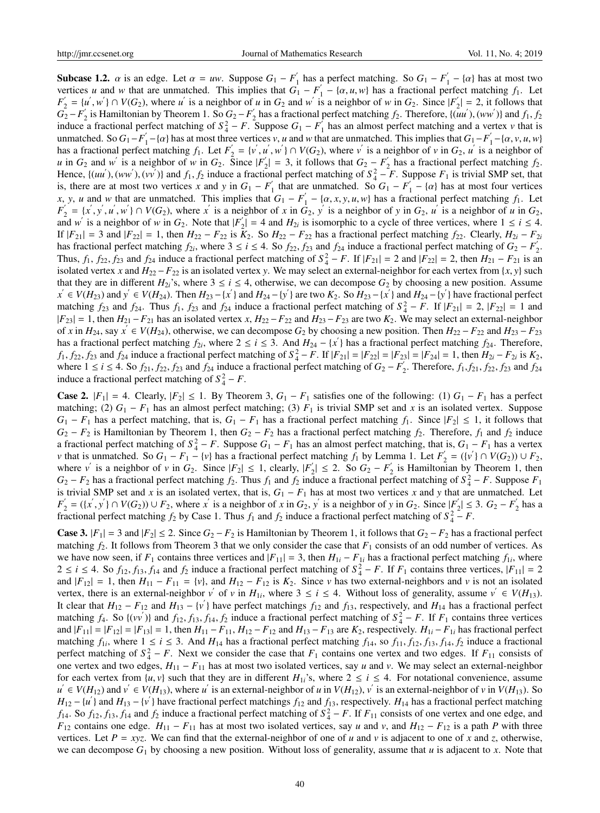**Subcase 1.2.**  $\alpha$  is an edge. Let  $\alpha = uw$ . Suppose  $G_1 - F'_1$  $\frac{1}{1}$  has a perfect matching. So  $G_1 - F_1$  $\alpha_1' - \{\alpha\}$  has at most two vertices *u* and *w* that are unmatched. This implies that  $G_1 - F_1'$  $J_1' - {\alpha, u, w}$  has a fractional perfect matching  $f_1$ . Let  $F_{\gamma}^{'}$  $y'_2 = \{u', w'\} \cap V(G_2)$ , where *u* is a neighbor of *u* in  $G_2$  and *w* is a neighbor of *w* in  $G_2$ . Since  $|F'_2|$  $|y'_2| = 2$ , it follows that  $G_2 - F_2'$  $\frac{1}{2}$  is Hamiltonian by Theorem 1. So  $G_2 - F_2'$  $\mathbf{z}'_2$  has a fractional perfect matching  $f_2$ . Therefore, { $(\mathbf{u}u'$ }, ( $ww'$ )} and  $f_1$ ,  $f_2$ induce a fractional perfect matching of  $S_4^2 - F$ . Suppose  $G_1 - F_1^2$  $\nu_1$  has an almost perfect matching and a vertex  $\nu$  that is unmatched. So  $G_1-F_1$ <sup>'</sup>  $\frac{1}{1} - \{\alpha\}$  has at most three vertices *v*, *u* and *w* that are unmatched. This implies that  $G_1 - F_1$  $y'_{1}$  – { $\alpha$ ,  $\nu$ ,  $u$ ,  $w$ } has a fractional perfect matching  $f_1$ . Let  $F'_2$  $y'_2 = \{v', u', w'\} \cap V(G_2)$ , where *v* is a neighbor of *v* in  $G_2$ , *u* is a neighbor of *u* in  $G_2$  and *w*<sup>'</sup> is a neighbor of *w* in  $G_2$ . Since  $|F'_2|$  $|G_2| = 3$ , it follows that  $G_2 - F_2$  $\frac{1}{2}$  has a fractional perfect matching  $f_2$ . Hence,  $\{(uu'), (ww'), (vv')\}$  and  $f_1, f_2$  induce a fractional perfect matching of  $S_4^2 - F$ . Suppose  $F_1$  is trivial SMP set, that is, there are at most two vertices *x* and *y* in  $G_1 - F_1'$  $\frac{1}{1}$  that are unmatched. So  $G_1 - F_2$  $\gamma_1' - \{\alpha\}$  has at most four vertices *x*, *y*, *u* and *w* that are unmatched. This implies that  $G_1 - F_1'$  $J_1' - {\alpha, x, y, u, w}$  has a fractional perfect matching  $f_1$ . Let  $F_{\gamma}^{'}$  $y'_2 = \{x', y', u', w'\} \cap V(G_2)$ , where x' is a neighbor of x in  $G_2$ , y' is a neighbor of y in  $G_2$ , u' is a neighbor of u in  $G_2$ , and *w*<sup>'</sup> is a neighbor of *w* in  $G_2$ . Note that  $|F'_2|$  $|I_2| = 4$  and  $H_{2i}$  is isomorphic to a cycle of three vertices, where  $1 \le i \le 4$ . If  $|F_{21}| = 3$  and  $|F_{22}| = 1$ , then  $H_{22} - F_{22}$  is  $K_2$ . So  $H_{22} - F_{22}$  has a fractional perfect matching  $f_{22}$ . Clearly,  $H_{2i} - F_{2i}$ has fractional perfect matching  $f_{2i}$ , where  $3 \le i \le 4$ . So  $f_{22}$ ,  $f_{23}$  and  $f_{24}$  induce a fractional perfect matching of  $G_2 - F_2$  $\frac{1}{2}$ . Thus,  $f_1$ ,  $f_{22}$ ,  $f_{23}$  and  $f_{24}$  induce a fractional perfect matching of  $S_4^2 - F$ . If  $|F_{21}| = 2$  and  $|F_{22}| = 2$ , then  $H_{21} - F_{21}$  is an isolated vertex *x* and  $H_{22} - F_{22}$  is an isolated vertex *y*. We may select an external-neighbor for each vertex from {*x*, *y*} such that they are in different  $H_{2i}$ 's, where  $3 \le i \le 4$ , otherwise, we can decompose  $G_2$  by choosing a new position. Assume  $x' \in V(H_{23})$  and  $y' \in V(H_{24})$ . Then  $H_{23} - \{x'\}$  and  $H_{24} - \{y'\}$  are two  $K_2$ . So  $H_{23} - \{x'\}$  and  $H_{24} - \{y'\}$  have fractional perfect matching  $f_{23}$  and  $f_{24}$ . Thus  $f_1$ ,  $f_{23}$  and  $f_{24}$  induce a fractional perfect matching of  $S_4^2 - F$ . If  $|F_{21}| = 2$ ,  $|F_{22}| = 1$  and  $|F_{23}| = 1$ , then  $H_{21} - F_{21}$  has an isolated vertex *x*,  $H_{22} - F_{22}$  and  $H_{23} - F_{23}$  are two  $K_2$ . We may select an external-neighbor of *x* in  $H_{24}$ , say  $x' \in V(H_{24})$ , otherwise, we can decompose  $G_2$  by choosing a new position. Then  $H_{22} - F_{22}$  and  $H_{23} - F_{23}$ has a fractional perfect matching  $f_{2i}$ , where  $2 \le i \le 3$ . And  $H_{24} - \{x' \}$  has a fractional perfect matching  $f_{24}$ . Therefore,  $f_1, f_2, f_2, f_3$  and  $f_2$  induce a fractional perfect matching of  $S_4^2 - F$ . If  $|F_{21}| = |F_{22}| = |F_{23}| = |F_{24}| = 1$ , then  $H_{2i} - F_{2i}$  is  $K_2$ , where  $1 \le i \le 4$ . So  $f_{21}$ ,  $f_{22}$ ,  $f_{23}$  and  $f_{24}$  induce a fractional perfect matching of  $G_2 - F_2'$  $I_2'$ . Therefore,  $f_1$ ,  $f_{21}$ ,  $f_{22}$ ,  $f_{23}$  and  $f_{24}$ induce a fractional perfect matching of  $S_4^2 - F$ .

**Case 2.**  $|F_1| = 4$ . Clearly,  $|F_2| \le 1$ . By Theorem 3,  $G_1 - F_1$  satisfies one of the following: (1)  $G_1 - F_1$  has a perfect matching; (2)  $G_1 - F_1$  has an almost perfect matching; (3)  $F_1$  is trivial SMP set and *x* is an isolated vertex. Suppose  $G_1 - F_1$  has a perfect matching, that is,  $G_1 - F_1$  has a fractional perfect matching  $f_1$ . Since  $|F_2| \le 1$ , it follows that  $G_2 - F_2$  is Hamiltonian by Theorem 1, then  $G_2 - F_2$  has a fractional perfect matching  $f_2$ . Therefore,  $f_1$  and  $f_2$  induce a fractional perfect matching of  $S_4^2 - F$ . Suppose  $G_1 - F_1$  has an almost perfect matching, that is,  $G_1 - F_1$  has a vertex *v* that is unmatched. So  $G_1 - F_1 - \{v\}$  has a fractional perfect matching  $f_1$  by Lemma 1. Let  $F'_2$  $Y'_2$  = ({*v*<sup>'</sup>} ∩ *V*(*G*<sub>2</sub>)) ∪ *F*<sub>2</sub>, where *v* is a neighbor of *v* in  $G_2$ . Since  $|F_2| \le 1$ , clearly,  $|F_2|$  $|S_2|$  ≤ 2. So  $G_2 - F_2$  $y_2$  is Hamiltonian by Theorem 1, then  $G_2 - F_2$  has a fractional perfect matching  $f_2$ . Thus  $f_1$  and  $f_2$  induce a fractional perfect matching of  $S_4^2 - F$ . Suppose  $F_1$ is trivial SMP set and *x* is an isolated vertex, that is,  $G_1 - F_1$  has at most two vertices *x* and *y* that are unmatched. Let *F* ′  $Z'_2 = (\{x', y'\} \cap V(G_2)) \cup F_2$ , where *x*<sup>'</sup> is a neighbor of *x* in  $G_2$ , *y*<sup>'</sup> is a neighbor of *y* in  $G_2$ . Since  $|F'_2|$  $|S_2|$  ≤ 3.  $G_2 - F_2$  $\frac{1}{2}$  has a fractional perfect matching  $f_2$  by Case 1. Thus  $f_1$  and  $f_2$  induce a fractional perfect matching of  $S_4^2 - F$ .

**Case 3.**  $|F_1| = 3$  and  $|F_2| \le 2$ . Since  $G_2 - F_2$  is Hamiltonian by Theorem 1, it follows that  $G_2 - F_2$  has a fractional perfect matching  $f_2$ . It follows from Theorem 3 that we only consider the case that  $F_1$  consists of an odd number of vertices. As we have now seen, if  $F_1$  contains three vertices and  $|F_{11}| = 3$ , then  $H_{1i} - F_{1i}$  has a fractional perfect matching  $f_{1i}$ , where  $2 \le i \le 4$ . So  $f_{12}, f_{13}, f_{14}$  and  $f_2$  induce a fractional perfect matching of  $S_4^2 - F$ . If  $F_1$  contains three vertices,  $|F_{11}| = 2$ and  $|F_{12}| = 1$ , then  $H_{11} - F_{11} = \{v\}$ , and  $H_{12} - F_{12}$  is  $K_2$ . Since *v* has two external-neighbors and *v* is not an isolated vertex, there is an external-neighbor  $v'$  of  $v$  in  $H_{1i}$ , where  $3 \le i \le 4$ . Without loss of generality, assume  $v' \in V(H_{13})$ . It clear that  $H_{12} - F_{12}$  and  $H_{13} - \{v\}$  have perfect matchings  $f_{12}$  and  $f_{13}$ , respectively, and  $H_{14}$  has a fractional perfect matching *f*<sub>4</sub>. So {(*vv'*)} and *f*<sub>12</sub>, *f*<sub>13</sub>, *f*<sub>14</sub>, *f*<sub>2</sub> induce a fractional perfect matching of  $S_4^2 - F$ . If  $F_1$  contains three vertices and  $|F_{11}| = |F_{12}| = |F_{13}| = 1$ , then  $H_{11} - F_{11}$ ,  $H_{12} - F_{12}$  and  $H_{13} - F_{13}$  are  $K_2$ , respectively.  $H_{1i} - F_{1i}$  has fractional perfect matching  $f_{1i}$ , where  $1 \le i \le 3$ . And  $H_{14}$  has a fractional perfect matching  $f_{14}$ , so  $f_{11}$ ,  $f_{12}$ ,  $f_{13}$ ,  $f_{14}$ ,  $f_2$  induce a fractional perfect matching of  $S_4^2 - F$ . Next we consider the case that  $F_1$  contains one vertex and two edges. If  $F_{11}$  consists of one vertex and two edges, *H*<sup>11</sup> − *F*<sup>11</sup> has at most two isolated vertices, say *u* and *v*. We may select an external-neighbor for each vertex from  $\{u, v\}$  such that they are in different  $H_{1i}$ 's, where  $2 \le i \le 4$ . For notational convenience, assume  $u' \in V(H_{12})$  and  $v' \in V(H_{13})$ , where u' is an external-neighbor of u in  $V(H_{12})$ , v' is an external-neighbor of v in  $V(H_{13})$ . So  $H_{12} - \{u\}$  and  $H_{13} - \{v\}$  have fractional perfect matchings  $f_{12}$  and  $f_{13}$ , respectively.  $H_{14}$  has a fractional perfect matching  $f_{14}$ . So  $f_{12}$ ,  $f_{13}$ ,  $f_{14}$  and  $f_2$  induce a fractional perfect matching of  $S_4^2 - F$ . If  $F_{11}$  consists of one vertex and one edge, and *F*<sub>12</sub> contains one edge. *H*<sub>11</sub> − *F*<sub>11</sub> has at most two isolated vertices, say *u* and *v*, and *H*<sub>12</sub> − *F*<sub>12</sub> is a path *P* with three vertices. Let  $P = xyz$ . We can find that the external-neighbor of one of *u* and *v* is adjacent to one of *x* and *z*, otherwise, we can decompose  $G_1$  by choosing a new position. Without loss of generality, assume that  $u$  is adjacent to  $x$ . Note that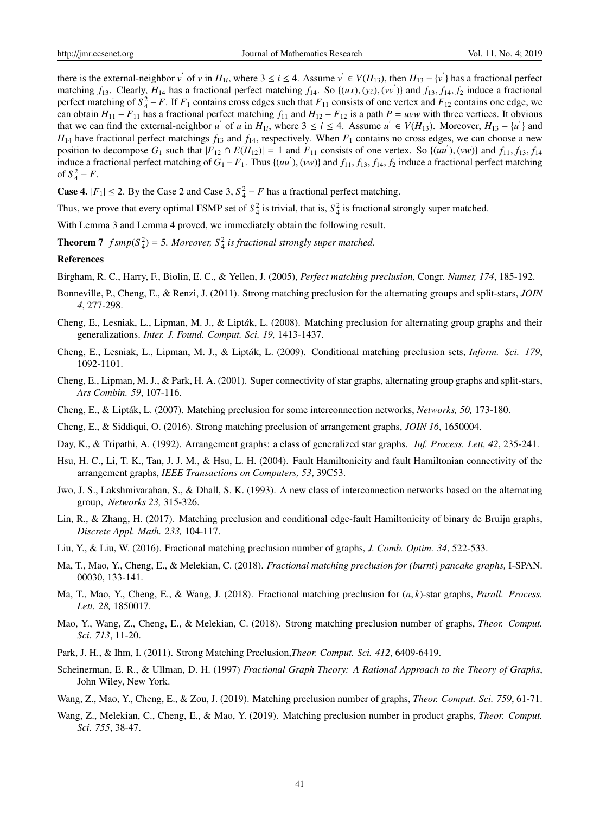there is the external-neighbor  $v'$  of  $v$  in  $H_{1i}$ , where  $3 \le i \le 4$ . Assume  $v' \in V(H_{13})$ , then  $H_{13} - \{v' \}$  has a fractional perfect matching  $f_{13}$ . Clearly,  $H_{14}$  has a fractional perfect matching  $f_{14}$ . So  $\{(ux), (yz), (vv')\}$  and  $f_{13}, f_{14}, f_2$  induce a fractional perfect matching of  $S_4^2 - F$ . If  $F_1$  contains cross edges such that  $F_{11}$  consists of one vertex and  $F_{12}$  contains one edge, we can obtain  $H_{11} - F_{11}$  has a fractional perfect matching  $f_{11}$  and  $H_{12} - F_{12}$  is a path  $P = uvw$  with three vertices. It obvious that we can find the external-neighbor *u'* of *u* in  $H_{1i}$ , where  $3 \le i \le 4$ . Assume  $u' \in V(H_{13})$ . Moreover,  $H_{13} - \{u'\}$  and  $H_{14}$  have fractional perfect matchings  $f_{13}$  and  $f_{14}$ , respectively. When  $F_1$  contains no cross edges, we can choose a new position to decompose  $G_1$  such that  $|F_{12} \cap E(H_{12})| = 1$  and  $F_{11}$  consists of one vertex. So  $\{(uu'), (vw)\}$  and  $f_{11}, f_{13}, f_{14}$ induce a fractional perfect matching of  $G_1 - F_1$ . Thus  $\{(uu'), (vw)\}$  and  $f_{11}, f_{13}, f_{14}, f_2$  induce a fractional perfect matching of  $S_4^2 - F$ .

**Case 4.**  $|F_1| \le 2$ . By the Case 2 and Case 3,  $S_4^2 - F$  has a fractional perfect matching.

Thus, we prove that every optimal FSMP set of  $S_4^2$  is trivial, that is,  $S_4^2$  is fractional strongly super matched.

With Lemma 3 and Lemma 4 proved, we immediately obtain the following result.

**Theorem 7**  $f \text{ smp}(S_4^2) = 5$ . Moreover,  $S_4^2$  is fractional strongly super matched.

#### References

Birgham, R. C., Harry, F., Biolin, E. C., & Yellen, J. (2005), *Perfect matching preclusion,* Congr. *Numer, 174*, 185-192.

- Bonneville, P., Cheng, E., & Renzi, J. (2011). Strong matching preclusion for the alternating groups and split-stars, *JOIN 4*, 277-298.
- Cheng, E., Lesniak, L., Lipman, M. J., & Lipták, L. (2008). Matching preclusion for alternating group graphs and their generalizations. *Inter. J. Found. Comput. Sci. 19,* 1413-1437.
- Cheng, E., Lesniak, L., Lipman, M. J., & Lipták, L. (2009). Conditional matching preclusion sets, *Inform. Sci. 179*, 1092-1101.
- Cheng, E., Lipman, M. J., & Park, H. A. (2001). Super connectivity of star graphs, alternating group graphs and split-stars, *Ars Combin. 59*, 107-116.
- Cheng, E., & Lipták, L. (2007). Matching preclusion for some interconnection networks, Networks, 50, 173-180.
- Cheng, E., & Siddiqui, O. (2016). Strong matching preclusion of arrangement graphs, *JOIN 16*, 1650004.
- Day, K., & Tripathi, A. (1992). Arrangement graphs: a class of generalized star graphs. *Inf. Process. Lett, 42*, 235-241.
- Hsu, H. C., Li, T. K., Tan, J. J. M., & Hsu, L. H. (2004). Fault Hamiltonicity and fault Hamiltonian connectivity of the arrangement graphs, *IEEE Transactions on Computers, 53*, 39C53.
- Jwo, J. S., Lakshmivarahan, S., & Dhall, S. K. (1993). A new class of interconnection networks based on the alternating group, *Networks 23,* 315-326.
- Lin, R., & Zhang, H. (2017). Matching preclusion and conditional edge-fault Hamiltonicity of binary de Bruijn graphs, *Discrete Appl. Math. 233,* 104-117.
- Liu, Y., & Liu, W. (2016). Fractional matching preclusion number of graphs, *J. Comb. Optim. 34*, 522-533.
- Ma, T., Mao, Y., Cheng, E., & Melekian, C. (2018). *Fractional matching preclusion for (burnt) pancake graphs,* I-SPAN. 00030, 133-141.
- Ma, T., Mao, Y., Cheng, E., & Wang, J. (2018). Fractional matching preclusion for (*n*, *k*)-star graphs, *Parall. Process. Lett. 28,* 1850017.
- Mao, Y., Wang, Z., Cheng, E., & Melekian, C. (2018). Strong matching preclusion number of graphs, *Theor. Comput. Sci. 713*, 11-20.
- Park, J. H., & Ihm, I. (2011). Strong Matching Preclusion,*Theor. Comput. Sci. 412*, 6409-6419.
- Scheinerman, E. R., & Ullman, D. H. (1997) *Fractional Graph Theory: A Rational Approach to the Theory of Graphs*, John Wiley, New York.
- Wang, Z., Mao, Y., Cheng, E., & Zou, J. (2019). Matching preclusion number of graphs, *Theor. Comput. Sci. 759*, 61-71.
- Wang, Z., Melekian, C., Cheng, E., & Mao, Y. (2019). Matching preclusion number in product graphs, *Theor. Comput. Sci. 755*, 38-47.